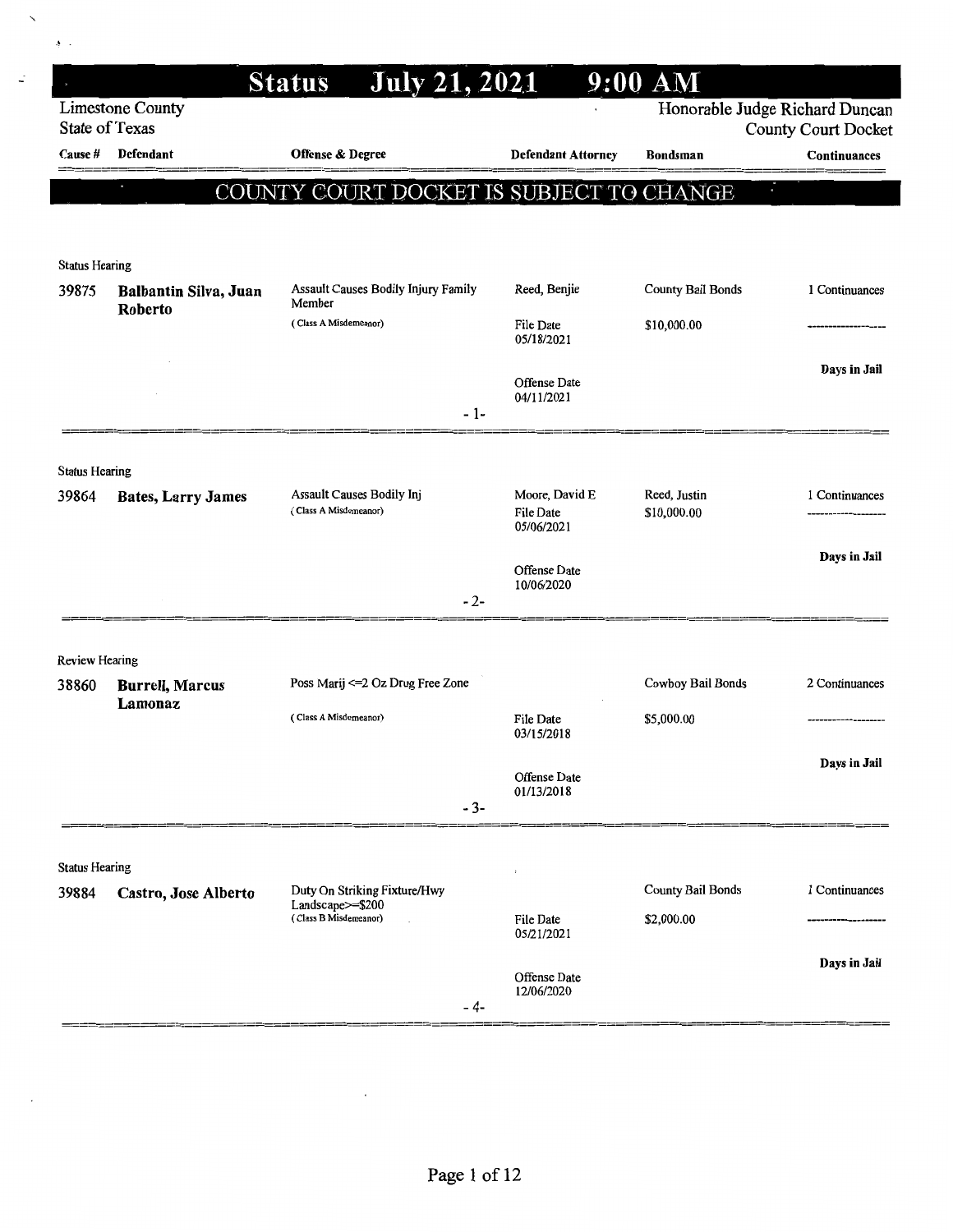|                       |                              | <b>July 21, 2021</b><br><b>Status</b>              |                                                  | 9:00 AM                        |                            |
|-----------------------|------------------------------|----------------------------------------------------|--------------------------------------------------|--------------------------------|----------------------------|
| <b>State of Texas</b> | <b>Limestone County</b>      |                                                    |                                                  | Honorable Judge Richard Duncan | <b>County Court Docket</b> |
| Cause #               | Defendant                    | Offense & Degree                                   | <b>Defendant Attorney</b>                        | <b>Bondsman</b>                | Continuances               |
|                       |                              | COUNTY COURT DOCKET IS SUBJECT TO CHANGE           |                                                  | $\blacksquare$                 |                            |
|                       |                              |                                                    |                                                  |                                |                            |
| <b>Status Hearing</b> |                              |                                                    |                                                  |                                |                            |
| 39875                 | <b>Balbantin Silva, Juan</b> | Assault Causes Bodily Injury Family                | Reed, Benjie                                     | <b>County Bail Bonds</b>       | 1 Continuances             |
|                       | Roberto                      | Member<br>(Class A Misdemeanor)                    | File Date<br>05/18/2021                          | \$10,000.00                    |                            |
|                       |                              |                                                    |                                                  |                                | Days in Jail               |
|                       |                              | $-1-$                                              | <b>Offense Date</b><br>04/11/2021                |                                |                            |
|                       |                              |                                                    |                                                  |                                |                            |
| <b>Status Hearing</b> |                              |                                                    |                                                  |                                |                            |
| 39864                 | <b>Bates, Larry James</b>    | Assault Causes Bodily Inj<br>(Class A Misdemeanor) | Moore, David E<br><b>File Date</b><br>05/06/2021 | Reed, Justin<br>\$10,000.00    | 1 Continuances             |
|                       |                              |                                                    |                                                  |                                | Days in Jail               |
|                       |                              |                                                    | Offense Date<br>10/06/2020                       |                                |                            |
|                       |                              | $-2-$                                              |                                                  |                                |                            |
| <b>Review Hearing</b> |                              |                                                    |                                                  |                                |                            |
| 38860                 | <b>Burrell, Marcus</b>       | Poss Marij <= 2 Oz Drug Free Zone                  |                                                  | Cowboy Bail Bonds              | 2 Continuances             |
|                       | Lamonaz                      | (Class A Misdemeanor)                              | File Date<br>03/15/2018                          | \$5,000.00                     |                            |
|                       |                              |                                                    |                                                  |                                | Days in Jail               |
|                       |                              |                                                    | Offense Date<br>01/13/2018                       |                                |                            |
|                       |                              | $-3-$                                              |                                                  |                                |                            |
| <b>Status Hearing</b> |                              |                                                    |                                                  |                                |                            |
| 39884                 | Castro, Jose Alberto         | Duty On Striking Fixture/Hwy<br>Landscape>=\$200   |                                                  | <b>County Bail Bonds</b>       | 1 Continuances             |
|                       |                              | (Class B Misdemeanor)                              | File Date<br>05/21/2021                          | \$2,000.00                     |                            |
|                       |                              |                                                    | Offense Date                                     |                                | Days in Jail               |
|                       |                              | - 4-                                               | 12/06/2020                                       |                                |                            |

 $\checkmark$ 

 $\vec{z}$ 

 $\frac{1}{2}$  .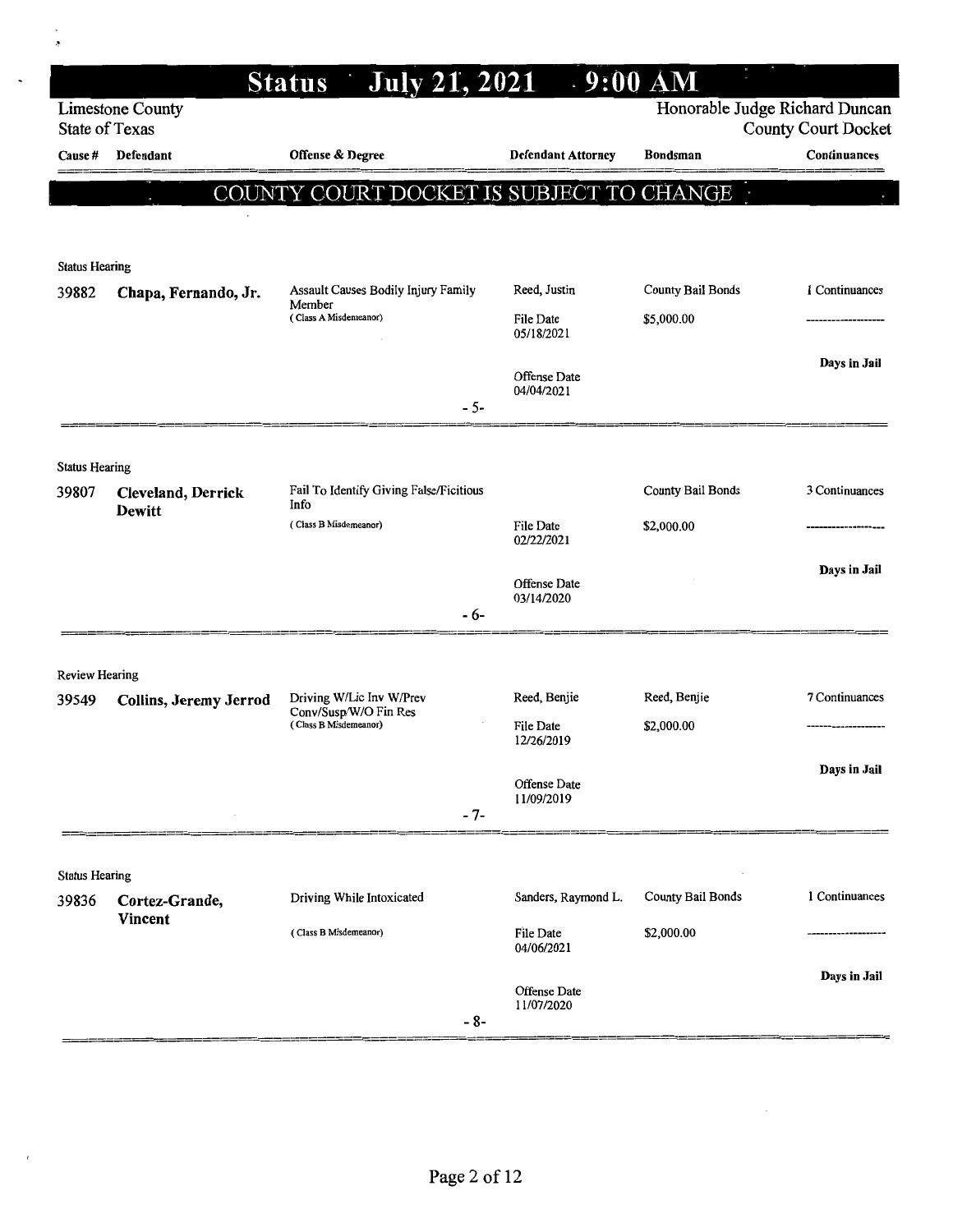|                       |                                     | <b>Status</b> July 21, 2021                       |                                | .9:00 AM                       |                            |
|-----------------------|-------------------------------------|---------------------------------------------------|--------------------------------|--------------------------------|----------------------------|
| <b>State of Texas</b> | <b>Limestone County</b>             |                                                   |                                | Honorable Judge Richard Duncan | <b>County Court Docket</b> |
| Cause #               | Defendant                           | Offense & Degree                                  | <b>Defendant Attorney</b>      | <b>Bondsman</b>                | Continuances               |
|                       |                                     | COUNTY COURT DOCKET IS SUBJECT TO CHANGE          |                                |                                |                            |
|                       |                                     |                                                   |                                |                                |                            |
| <b>Status Hearing</b> |                                     |                                                   |                                |                                |                            |
| 39882                 | Chapa, Fernando, Jr.                | Assault Causes Bodily Injury Family<br>Member     | Reed, Justin                   | <b>County Bail Bonds</b>       | 1 Continuances             |
|                       |                                     | (Class A Misdemeanor)                             | File Date<br>05/18/2021        | \$5,000.00                     |                            |
|                       |                                     |                                                   | Offense Date                   |                                | Days in Jail               |
|                       |                                     | $-5-$                                             | 04/04/2021                     |                                |                            |
|                       |                                     |                                                   |                                |                                |                            |
| <b>Status Hearing</b> |                                     |                                                   |                                |                                |                            |
| 39807                 | Cleveland, Derrick<br><b>Dewitt</b> | Fail To Identify Giving False/Ficitious<br>Info   |                                | County Bail Bonds              | 3 Continuances             |
|                       |                                     | (Class B Misdemeanor)                             | File Date<br>02/22/2021        | \$2,000.00                     |                            |
|                       |                                     |                                                   | Offense Date                   |                                | Days in Jail               |
|                       |                                     | - 6-                                              | 03/14/2020                     |                                |                            |
|                       |                                     |                                                   |                                |                                |                            |
| <b>Review Hearing</b> |                                     |                                                   |                                |                                |                            |
| 39549                 | Collins, Jeremy Jerrod              | Driving W/Lic Inv W/Prev<br>Conv/Susp/W/O Fin Res | Reed, Benjie                   | Reed, Benjie                   | 7 Continuances             |
|                       |                                     | (Class B Misdemeanor)                             | <b>File Date</b><br>12/26/2019 | \$2,000.00                     |                            |
|                       |                                     |                                                   | Offense Date                   |                                | Days in Jail               |
|                       |                                     | $-7-$                                             | 11/09/2019                     |                                |                            |
|                       |                                     |                                                   |                                |                                |                            |
| <b>Status Hearing</b> |                                     |                                                   |                                |                                |                            |
| 39836                 | Cortez-Grande,<br><b>Vincent</b>    | Driving While Intoxicated                         | Sanders, Raymond L.            | <b>County Bail Bonds</b>       | 1 Continuances             |
|                       |                                     | (Class B Misdemeanor)                             | File Date<br>04/06/2021        | \$2,000.00                     |                            |
|                       |                                     |                                                   | Offense Date                   |                                | Days in Jail               |
|                       |                                     | - 8-                                              | 11/07/2020                     |                                |                            |

 $\hat{\mathcal{S}}$ 

 $\hat{\mathcal{A}}$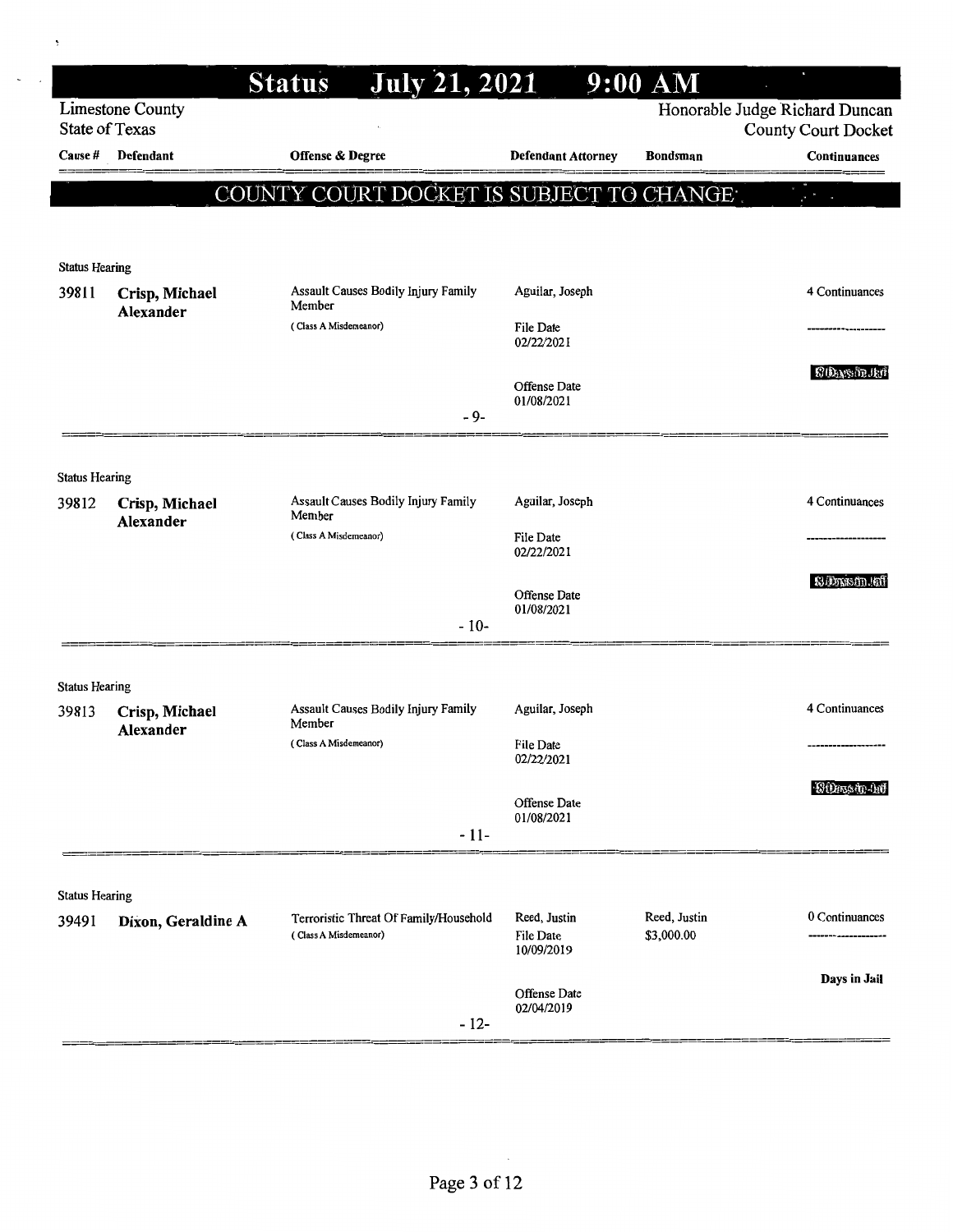|                                  |                             | <b>July 21, 2021</b><br><b>Status</b>                           |                                         | $9:00$ AM                  |                                            |
|----------------------------------|-----------------------------|-----------------------------------------------------------------|-----------------------------------------|----------------------------|--------------------------------------------|
|                                  | <b>Limestone County</b>     |                                                                 |                                         |                            | Honorable Judge Richard Duncan             |
| <b>State of Texas</b><br>Cause # | Defendant                   | Offense & Degree                                                | <b>Defendant Attorney</b>               | <b>Bondsman</b>            | <b>County Court Docket</b><br>Continuances |
|                                  |                             |                                                                 |                                         |                            |                                            |
|                                  |                             | COUNTY COURT DOCKET IS SUBJECT TO CHANGE .                      |                                         |                            |                                            |
|                                  |                             |                                                                 |                                         |                            |                                            |
| <b>Status Hearing</b>            |                             |                                                                 |                                         |                            |                                            |
| 39811                            | Crisp, Michael<br>Alexander | Assault Causes Bodily Injury Family<br>Member                   | Aguilar, Joseph                         |                            | 4 Continuances                             |
|                                  |                             | (Class A Misdemeanor)                                           | <b>File Date</b><br>02/22/2021          |                            |                                            |
|                                  |                             |                                                                 | <b>Offense Date</b><br>01/08/2021       |                            | <b>SOASHI</b>                              |
|                                  |                             | - 9-                                                            |                                         |                            |                                            |
|                                  |                             |                                                                 |                                         |                            |                                            |
| <b>Status Hearing</b><br>39812   | Crisp, Michael<br>Alexander | Assault Causes Bodily Injury Family<br>Member                   | Aguilar, Joseph                         |                            | 4 Continuances                             |
|                                  |                             | (Class A Misdemeanor)                                           | File Date<br>02/22/2021                 |                            |                                            |
|                                  |                             |                                                                 | <b>Offense Date</b><br>01/08/2021       |                            | S. Drastn. Inf                             |
|                                  |                             | $-10-$                                                          |                                         |                            |                                            |
|                                  |                             |                                                                 |                                         |                            |                                            |
| <b>Status Hearing</b><br>39813   | Crisp, Michael              | Assault Causes Bodily Injury Family<br>Member                   | Aguilar, Joseph                         |                            | 4 Continuances                             |
|                                  | Alexander                   | (Class A Misdemeanor)                                           | <b>File Date</b><br>02/22/2021          |                            |                                            |
|                                  |                             | $-11-$                                                          | <b>Offense Date</b><br>01/08/2021       |                            | <b>COnstrait</b>                           |
|                                  |                             |                                                                 |                                         |                            |                                            |
| <b>Status Hearing</b>            |                             |                                                                 |                                         |                            |                                            |
| 39491                            | Dixon, Geraldine A          | Terroristic Threat Of Family/Household<br>(Class A Misdemeanor) | Reed, Justin<br>File Date<br>10/09/2019 | Reed, Justin<br>\$3,000.00 | 0 Continuances                             |
|                                  |                             | $-12-$                                                          | Offense Date<br>02/04/2019              |                            | Days in Jail                               |

¥

 $\hat{\boldsymbol{\beta}}$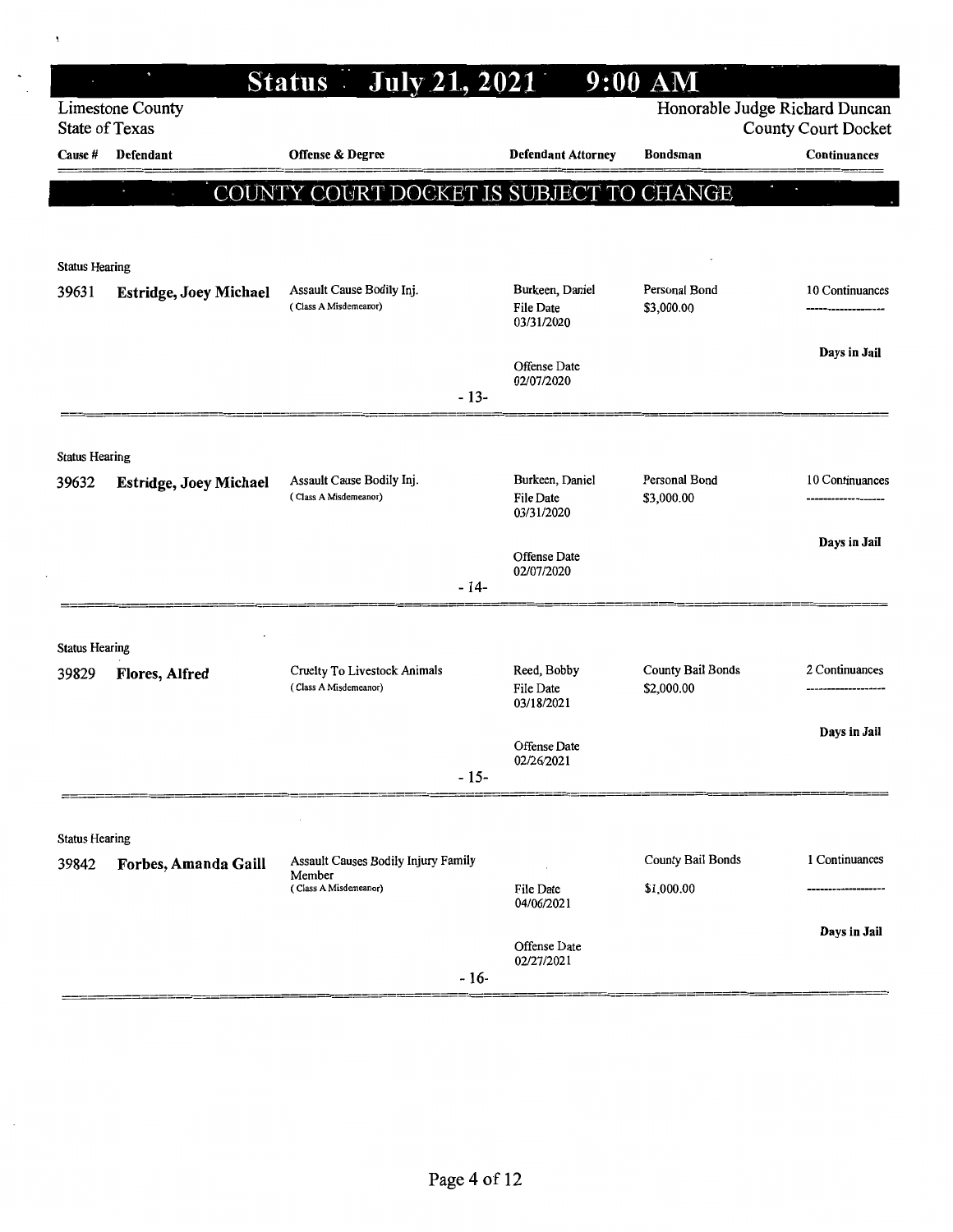|                                |                               | <b>July 21, 2021</b><br>Status -                      |        |                                                   | 9:00 AM                         |                                                              |
|--------------------------------|-------------------------------|-------------------------------------------------------|--------|---------------------------------------------------|---------------------------------|--------------------------------------------------------------|
| <b>State of Texas</b>          | <b>Limestone County</b>       |                                                       |        |                                                   |                                 | Honorable Judge Richard Duncan<br><b>County Court Docket</b> |
| Cause #                        | Defendant                     | Offense & Degree                                      |        | <b>Defendant Attorney</b>                         | <b>Bondsman</b>                 | Continuances                                                 |
|                                |                               | COUNTY COURT DOCKET IS SUBJECT TO CHANGE              |        |                                                   |                                 |                                                              |
|                                |                               |                                                       |        |                                                   |                                 |                                                              |
|                                |                               |                                                       |        |                                                   |                                 |                                                              |
| <b>Status Hearing</b>          |                               |                                                       |        |                                                   |                                 |                                                              |
| 39631                          | <b>Estridge, Joey Michael</b> | Assault Cause Bodily Inj.<br>(Class A Misdemeanor)    |        | Burkeen, Daniel<br><b>File Date</b><br>03/31/2020 | Personal Bond<br>\$3,000.00     | 10 Continuances                                              |
|                                |                               |                                                       |        | Offense Date<br>02/07/2020                        |                                 | Days in Jail                                                 |
|                                |                               |                                                       | $-13-$ |                                                   |                                 |                                                              |
|                                |                               |                                                       |        |                                                   |                                 |                                                              |
| <b>Status Hearing</b><br>39632 | <b>Estridge, Joey Michael</b> | Assault Cause Bodily Inj.<br>(Class A Misdemeanor)    |        | Burkeen, Daniel<br><b>File Date</b><br>03/31/2020 | Personal Bond<br>\$3,000.00     | 10 Continuances                                              |
|                                |                               |                                                       |        | Offense Date<br>02/07/2020                        |                                 | Days in Jail                                                 |
|                                |                               |                                                       | $-14-$ |                                                   |                                 |                                                              |
|                                |                               |                                                       |        |                                                   |                                 |                                                              |
| <b>Status Hearing</b>          |                               |                                                       |        |                                                   |                                 |                                                              |
| 39829                          | <b>Flores, Alfred</b>         | Cruelty To Livestock Animals<br>(Class A Misdemeanor) |        | Reed, Bobby<br>File Date<br>03/18/2021            | County Bail Bonds<br>\$2,000.00 | 2 Continuances                                               |
|                                |                               |                                                       |        | <b>Offense Date</b><br>02/26/2021                 |                                 | Days in Jail                                                 |
|                                |                               |                                                       | $-15-$ |                                                   |                                 |                                                              |
| <b>Status Hearing</b>          |                               |                                                       |        |                                                   |                                 |                                                              |
| 39842                          | Forbes, Amanda Gaill          | Assault Causes Bodily Injury Family                   |        |                                                   | <b>County Bail Bonds</b>        | 1 Continuances                                               |
|                                |                               | Member<br>(Class A Misdemeanor)                       |        | File Date<br>04/06/2021                           | \$1,000.00                      |                                                              |
|                                |                               |                                                       | $-16-$ | Offense Date<br>02/27/2021                        |                                 | Days in Jail                                                 |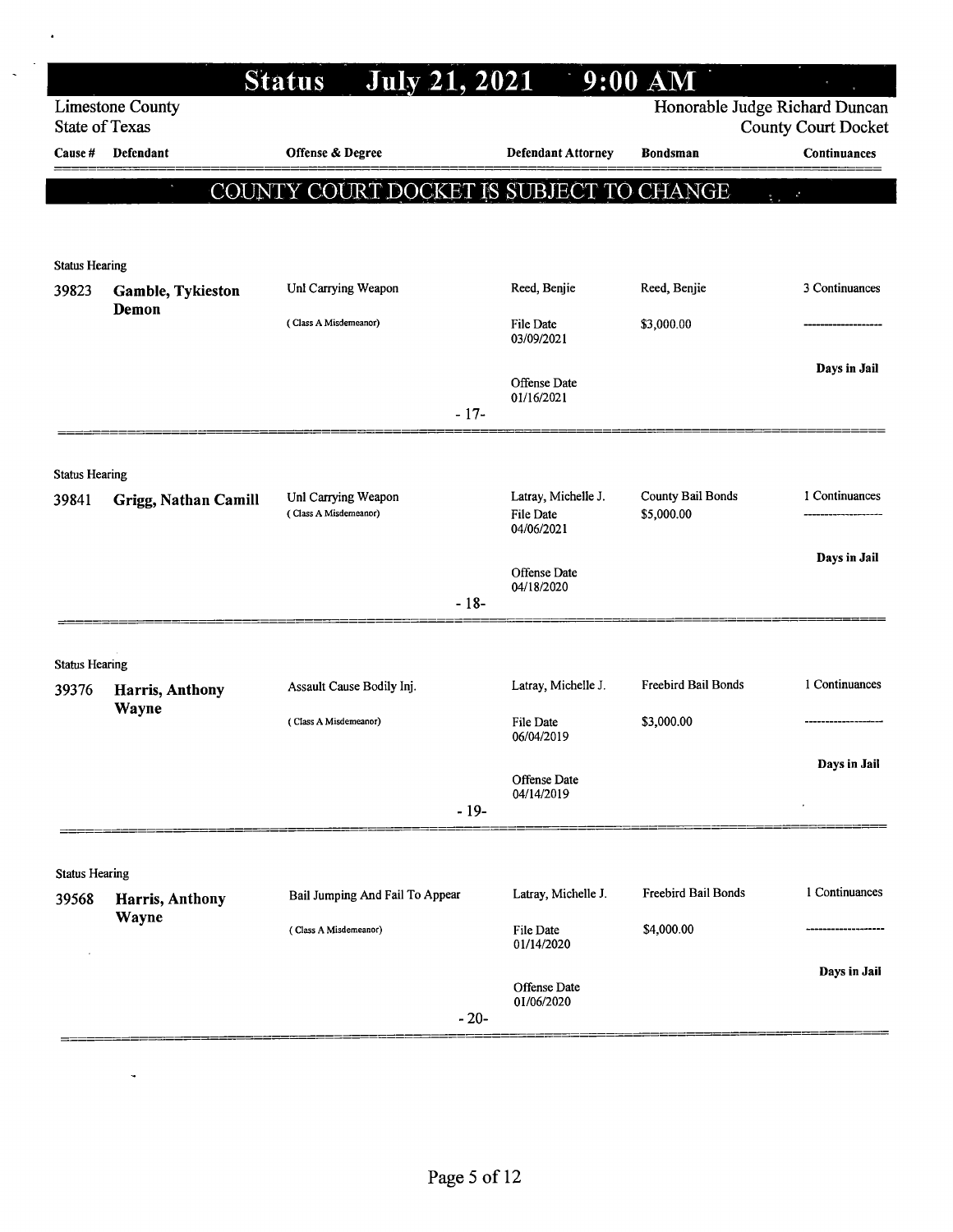|                                |                         | <b>July 21, 2021</b><br><b>Status</b>        |                                                | $9:00$ AM                              |                                                              |
|--------------------------------|-------------------------|----------------------------------------------|------------------------------------------------|----------------------------------------|--------------------------------------------------------------|
| <b>State of Texas</b>          | <b>Limestone County</b> |                                              |                                                |                                        | Honorable Judge Richard Duncan<br><b>County Court Docket</b> |
| Cause #                        | <b>Defendant</b>        | Offense & Degree                             | <b>Defendant Attorney</b>                      | <b>Bondsman</b>                        | Continuances                                                 |
|                                |                         | COUNTY COURT DOCKET IS SUBJECT TO CHANGE     |                                                |                                        | $\mathbf{z}^k$<br>$\frac{1}{2}$                              |
|                                |                         |                                              |                                                |                                        |                                                              |
| <b>Status Hearing</b>          |                         |                                              |                                                |                                        |                                                              |
| 39823                          | Gamble, Tykieston       | Unl Carrying Weapon                          | Reed, Benjie                                   | Reed, Benjie                           | 3 Continuances                                               |
|                                | Demon                   | (Class A Misdemeanor)                        | File Date<br>03/09/2021                        | \$3,000.00                             |                                                              |
|                                |                         | $-17-$                                       | Offense Date<br>01/16/2021                     |                                        | Days in Jail                                                 |
|                                |                         |                                              |                                                |                                        |                                                              |
| <b>Status Hearing</b>          |                         |                                              |                                                |                                        |                                                              |
| 39841                          | Grigg, Nathan Camill    | Unl Carrying Weapon<br>(Class A Misdemeanor) | Latray, Michelle J.<br>File Date<br>04/06/2021 | <b>County Bail Bonds</b><br>\$5,000.00 | 1 Continuances                                               |
|                                |                         |                                              | Offense Date<br>04/18/2020                     |                                        | Days in Jail                                                 |
|                                |                         | $-18-$                                       |                                                |                                        |                                                              |
| <b>Status Hearing</b>          |                         |                                              |                                                |                                        |                                                              |
| 39376                          | <b>Harris, Anthony</b>  | Assault Cause Bodily Inj.                    | Latray, Michelle J.                            | Freebird Bail Bonds                    | 1 Continuances                                               |
|                                | Wayne                   | (Class A Misdemeanor)                        | File Date<br>06/04/2019                        | \$3,000.00                             |                                                              |
|                                |                         |                                              | Offense Date<br>04/14/2019                     |                                        | Days in Jail                                                 |
|                                |                         | $-19-$                                       |                                                |                                        |                                                              |
|                                |                         |                                              |                                                |                                        |                                                              |
| <b>Status Hearing</b><br>39568 | Harris, Anthony         | Bail Jumping And Fail To Appear              | Latray, Michelle J.                            | <b>Freebird Bail Bonds</b>             | 1 Continuances                                               |
|                                | Wayne                   | (Class A Misdemeanor)                        | <b>File Date</b><br>01/14/2020                 | \$4,000.00                             |                                                              |
|                                |                         | $-20-$                                       | Offense Date<br>01/06/2020                     |                                        | Days in Jail                                                 |

 $\ddot{\phantom{a}}$ 

L,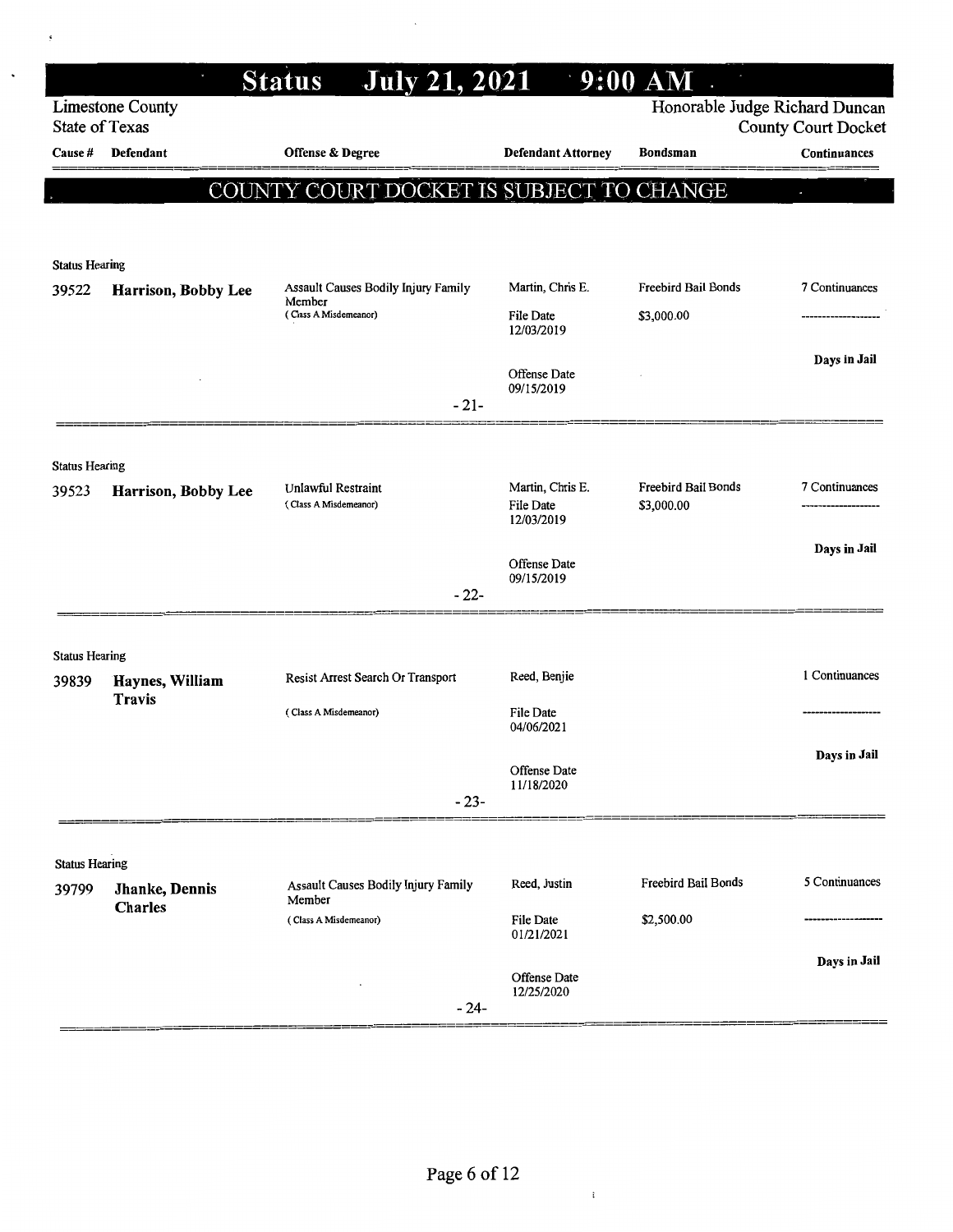| Honorable Judge Richard Duncan<br><b>Limestone County</b><br>State of Texas<br><b>County Court Docket</b><br>Offense & Degree<br>Defendant<br><b>Defendant Attorney</b><br><b>Bondsman</b><br>Continuances<br>Cause #<br>COUNTY COURT DOCKET IS SUBJECT TO CHANGE<br><b>Status Hearing</b><br><b>Freebird Bail Bonds</b><br>7 Continuances<br>Assault Causes Bodily Injury Family<br>Martin, Chris E.<br>39522<br>Harrison, Bobby Lee<br>Member<br>(Class A Misdemeanor)<br>\$3,000.00<br>File Date<br>12/03/2019<br>Days in Jail<br>Offense Date<br>09/15/2019<br>$-21-$<br><b>Status Hearing</b><br>Martin, Chris E.<br>Freebird Bail Bonds<br>7 Continuances<br>Unlawful Restraint<br>39523<br>Harrison, Bobby Lee<br>\$3,000.00<br>(Class A Misdemeanor)<br><b>File Date</b><br>12/03/2019<br>Days in Jail<br>Offense Date<br>09/15/2019<br>$-22-$<br><b>Status Hearing</b><br>1 Continuances<br>Reed, Benjie<br>Resist Arrest Search Or Transport<br>39839<br>Haynes, William<br><b>Travis</b><br>File Date<br>(Class A Misdemeanor)<br>04/06/2021<br>Days in Jail<br>Offense Date<br>11/18/2020<br>$-23-$<br><b>Status Hearing</b><br>5 Continuances<br>Freebird Bail Bonds<br>Reed, Justin<br>Assault Causes Bodily Injury Family<br>39799<br>Jhanke, Dennis<br>Member<br><b>Charles</b><br>\$2,500.00<br>File Date<br>(Class A Misdemeanor)<br>01/21/2021<br>Days in Jail<br>Offense Date<br>12/25/2020<br>- 24- | $\mathbf{u}$ | <b>July 21, 2021</b><br><b>Status</b> | $\cdot$ 9:00 AM |  |
|--------------------------------------------------------------------------------------------------------------------------------------------------------------------------------------------------------------------------------------------------------------------------------------------------------------------------------------------------------------------------------------------------------------------------------------------------------------------------------------------------------------------------------------------------------------------------------------------------------------------------------------------------------------------------------------------------------------------------------------------------------------------------------------------------------------------------------------------------------------------------------------------------------------------------------------------------------------------------------------------------------------------------------------------------------------------------------------------------------------------------------------------------------------------------------------------------------------------------------------------------------------------------------------------------------------------------------------------------------------------------------------------------------------------------|--------------|---------------------------------------|-----------------|--|
|                                                                                                                                                                                                                                                                                                                                                                                                                                                                                                                                                                                                                                                                                                                                                                                                                                                                                                                                                                                                                                                                                                                                                                                                                                                                                                                                                                                                                          |              |                                       |                 |  |
|                                                                                                                                                                                                                                                                                                                                                                                                                                                                                                                                                                                                                                                                                                                                                                                                                                                                                                                                                                                                                                                                                                                                                                                                                                                                                                                                                                                                                          |              |                                       |                 |  |
|                                                                                                                                                                                                                                                                                                                                                                                                                                                                                                                                                                                                                                                                                                                                                                                                                                                                                                                                                                                                                                                                                                                                                                                                                                                                                                                                                                                                                          |              |                                       |                 |  |
|                                                                                                                                                                                                                                                                                                                                                                                                                                                                                                                                                                                                                                                                                                                                                                                                                                                                                                                                                                                                                                                                                                                                                                                                                                                                                                                                                                                                                          |              |                                       |                 |  |
|                                                                                                                                                                                                                                                                                                                                                                                                                                                                                                                                                                                                                                                                                                                                                                                                                                                                                                                                                                                                                                                                                                                                                                                                                                                                                                                                                                                                                          |              |                                       |                 |  |
|                                                                                                                                                                                                                                                                                                                                                                                                                                                                                                                                                                                                                                                                                                                                                                                                                                                                                                                                                                                                                                                                                                                                                                                                                                                                                                                                                                                                                          |              |                                       |                 |  |
|                                                                                                                                                                                                                                                                                                                                                                                                                                                                                                                                                                                                                                                                                                                                                                                                                                                                                                                                                                                                                                                                                                                                                                                                                                                                                                                                                                                                                          |              |                                       |                 |  |
|                                                                                                                                                                                                                                                                                                                                                                                                                                                                                                                                                                                                                                                                                                                                                                                                                                                                                                                                                                                                                                                                                                                                                                                                                                                                                                                                                                                                                          |              |                                       |                 |  |
|                                                                                                                                                                                                                                                                                                                                                                                                                                                                                                                                                                                                                                                                                                                                                                                                                                                                                                                                                                                                                                                                                                                                                                                                                                                                                                                                                                                                                          |              |                                       |                 |  |
|                                                                                                                                                                                                                                                                                                                                                                                                                                                                                                                                                                                                                                                                                                                                                                                                                                                                                                                                                                                                                                                                                                                                                                                                                                                                                                                                                                                                                          |              |                                       |                 |  |
|                                                                                                                                                                                                                                                                                                                                                                                                                                                                                                                                                                                                                                                                                                                                                                                                                                                                                                                                                                                                                                                                                                                                                                                                                                                                                                                                                                                                                          |              |                                       |                 |  |
|                                                                                                                                                                                                                                                                                                                                                                                                                                                                                                                                                                                                                                                                                                                                                                                                                                                                                                                                                                                                                                                                                                                                                                                                                                                                                                                                                                                                                          |              |                                       |                 |  |
|                                                                                                                                                                                                                                                                                                                                                                                                                                                                                                                                                                                                                                                                                                                                                                                                                                                                                                                                                                                                                                                                                                                                                                                                                                                                                                                                                                                                                          |              |                                       |                 |  |
|                                                                                                                                                                                                                                                                                                                                                                                                                                                                                                                                                                                                                                                                                                                                                                                                                                                                                                                                                                                                                                                                                                                                                                                                                                                                                                                                                                                                                          |              |                                       |                 |  |
|                                                                                                                                                                                                                                                                                                                                                                                                                                                                                                                                                                                                                                                                                                                                                                                                                                                                                                                                                                                                                                                                                                                                                                                                                                                                                                                                                                                                                          |              |                                       |                 |  |
|                                                                                                                                                                                                                                                                                                                                                                                                                                                                                                                                                                                                                                                                                                                                                                                                                                                                                                                                                                                                                                                                                                                                                                                                                                                                                                                                                                                                                          |              |                                       |                 |  |
|                                                                                                                                                                                                                                                                                                                                                                                                                                                                                                                                                                                                                                                                                                                                                                                                                                                                                                                                                                                                                                                                                                                                                                                                                                                                                                                                                                                                                          |              |                                       |                 |  |
|                                                                                                                                                                                                                                                                                                                                                                                                                                                                                                                                                                                                                                                                                                                                                                                                                                                                                                                                                                                                                                                                                                                                                                                                                                                                                                                                                                                                                          |              |                                       |                 |  |
|                                                                                                                                                                                                                                                                                                                                                                                                                                                                                                                                                                                                                                                                                                                                                                                                                                                                                                                                                                                                                                                                                                                                                                                                                                                                                                                                                                                                                          |              |                                       |                 |  |
|                                                                                                                                                                                                                                                                                                                                                                                                                                                                                                                                                                                                                                                                                                                                                                                                                                                                                                                                                                                                                                                                                                                                                                                                                                                                                                                                                                                                                          |              |                                       |                 |  |
|                                                                                                                                                                                                                                                                                                                                                                                                                                                                                                                                                                                                                                                                                                                                                                                                                                                                                                                                                                                                                                                                                                                                                                                                                                                                                                                                                                                                                          |              |                                       |                 |  |
|                                                                                                                                                                                                                                                                                                                                                                                                                                                                                                                                                                                                                                                                                                                                                                                                                                                                                                                                                                                                                                                                                                                                                                                                                                                                                                                                                                                                                          |              |                                       |                 |  |
|                                                                                                                                                                                                                                                                                                                                                                                                                                                                                                                                                                                                                                                                                                                                                                                                                                                                                                                                                                                                                                                                                                                                                                                                                                                                                                                                                                                                                          |              |                                       |                 |  |
|                                                                                                                                                                                                                                                                                                                                                                                                                                                                                                                                                                                                                                                                                                                                                                                                                                                                                                                                                                                                                                                                                                                                                                                                                                                                                                                                                                                                                          |              |                                       |                 |  |
|                                                                                                                                                                                                                                                                                                                                                                                                                                                                                                                                                                                                                                                                                                                                                                                                                                                                                                                                                                                                                                                                                                                                                                                                                                                                                                                                                                                                                          |              |                                       |                 |  |

 $\ddot{\phantom{a}}$ 

 $\mathfrak{t}$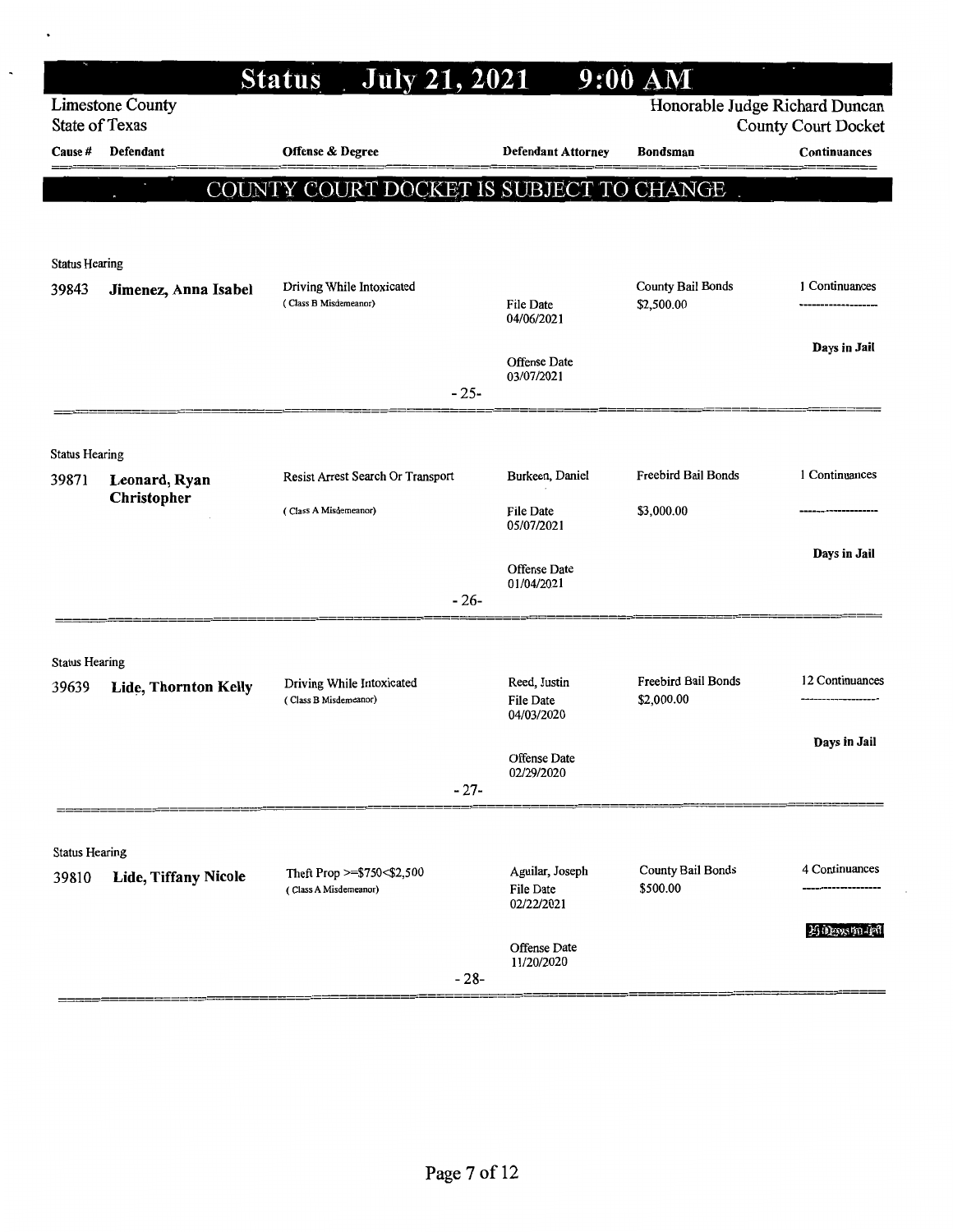|                       |                              | <b>July 21, 2021</b><br><b>Status</b>               |        |                                  | $9:00$ AM                         |                                                              |
|-----------------------|------------------------------|-----------------------------------------------------|--------|----------------------------------|-----------------------------------|--------------------------------------------------------------|
| State of Texas        | <b>Limestone County</b>      |                                                     |        |                                  |                                   | Honorable Judge Richard Duncan<br><b>County Court Docket</b> |
| Cause #               | Defendant                    | <b>Offense &amp; Degree</b>                         |        | <b>Defendant Attorney</b>        | <b>Bondsman</b>                   | Continuances                                                 |
|                       |                              | COUNTY COURT DOCKET IS SUBJECT TO CHANGE            |        |                                  |                                   |                                                              |
|                       |                              |                                                     |        |                                  |                                   |                                                              |
| <b>Status Hearing</b> |                              |                                                     |        |                                  |                                   |                                                              |
| 39843                 | Jimenez, Anna Isabel         | Driving While Intoxicated<br>(Class B Misdemeanor)  |        |                                  | County Bail Bonds                 | 1 Continuances                                               |
|                       |                              |                                                     |        | File Date<br>04/06/2021          | \$2,500.00                        |                                                              |
|                       |                              |                                                     |        | Offense Date                     |                                   | Days in Jail                                                 |
|                       |                              |                                                     | $-25-$ | 03/07/2021                       |                                   |                                                              |
|                       |                              |                                                     |        |                                  |                                   |                                                              |
| <b>Status Hearing</b> |                              |                                                     |        |                                  |                                   |                                                              |
| 39871                 | Leonard, Ryan<br>Christopher | Resist Arrest Search Or Transport                   |        | Burkeen, Daniel                  | <b>Freebird Bail Bonds</b>        | 1 Continuances                                               |
|                       |                              | (Class A Misdemeanor)                               |        | <b>File Date</b><br>05/07/2021   | \$3,000.00                        |                                                              |
|                       |                              |                                                     |        | Offense Date                     |                                   | Days in Jail                                                 |
|                       |                              |                                                     | $-26-$ | 01/04/2021                       |                                   |                                                              |
|                       |                              |                                                     |        |                                  |                                   |                                                              |
| <b>Status Hearing</b> |                              |                                                     |        |                                  |                                   |                                                              |
| 39639                 | Lide, Thornton Kelly         | Driving While Intoxicated<br>(Class B Misdemeanor)  |        | Reed, Justin<br><b>File Date</b> | Freebird Bail Bonds<br>\$2,000.00 | 12 Continuances                                              |
|                       |                              |                                                     |        | 04/03/2020                       |                                   |                                                              |
|                       |                              |                                                     |        | Offense Date                     |                                   | Days in Jail                                                 |
|                       |                              |                                                     | $-27-$ | 02/29/2020                       |                                   |                                                              |
|                       |                              |                                                     |        |                                  |                                   |                                                              |
| <b>Status Hearing</b> |                              |                                                     |        |                                  |                                   | 4 Continuances                                               |
| 39810                 | Lide, Tiffany Nicole         | Theft Prop >=\$750<\$2,500<br>(Class A Misdemeanor) |        | Aguilar, Joseph<br>File Date     | County Bail Bonds<br>\$500.00     |                                                              |
|                       |                              |                                                     |        | 02/22/2021                       |                                   | 26 Decesion and                                              |
|                       |                              |                                                     |        | Offense Date<br>11/20/2020       |                                   |                                                              |
|                       |                              |                                                     | $-28-$ |                                  |                                   |                                                              |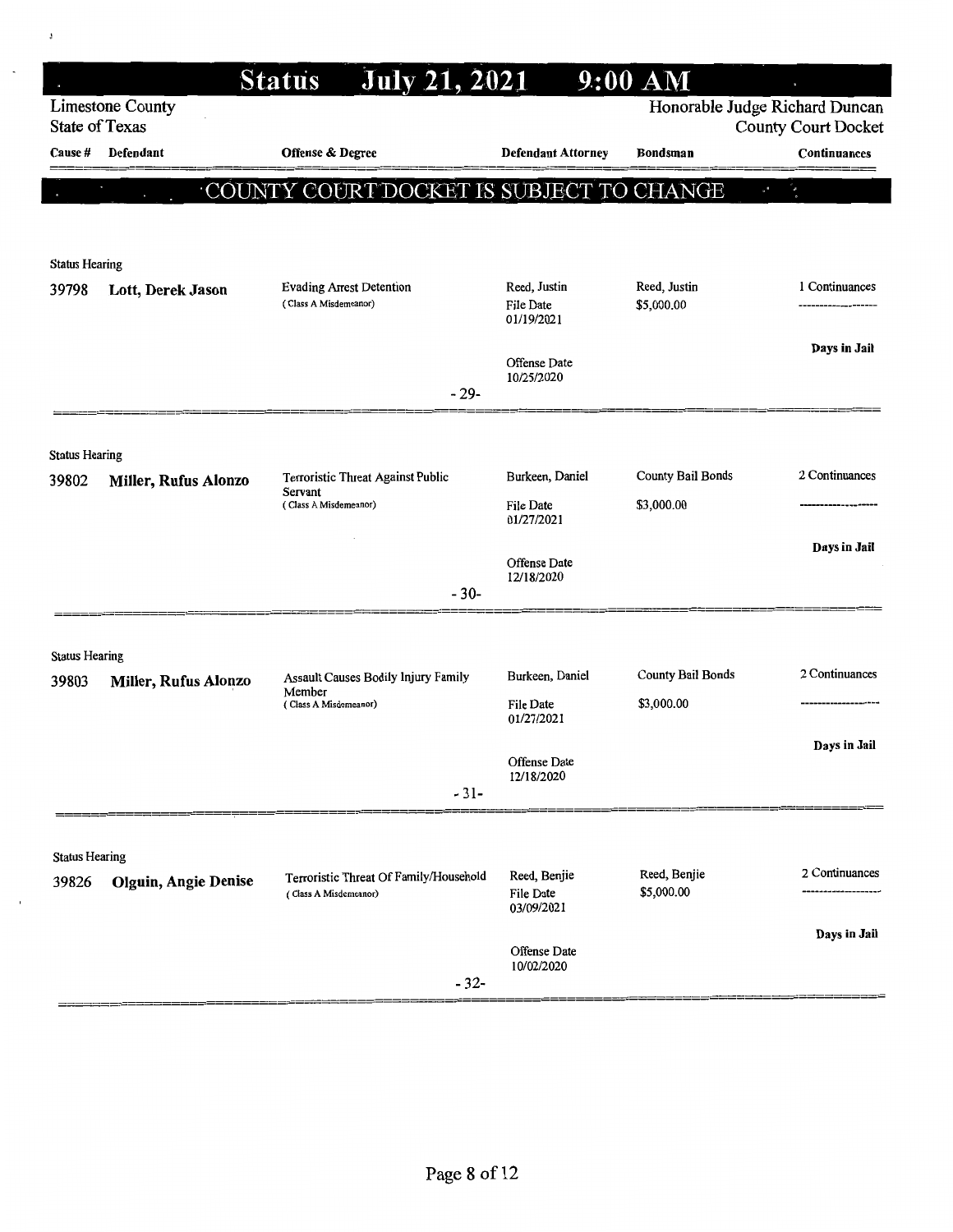|                       |                             | <b>July 21, 2021</b><br><b>Status</b>         |                                  | $9:00$ AM                  |                                                              |
|-----------------------|-----------------------------|-----------------------------------------------|----------------------------------|----------------------------|--------------------------------------------------------------|
| <b>State of Texas</b> | <b>Limestone County</b>     |                                               |                                  |                            | Honorable Judge Richard Duncan<br><b>County Court Docket</b> |
| Cause #               | Defendant                   | <b>Offense &amp; Degree</b>                   | <b>Defendant Attorney</b>        | Bondsman                   | Continuances                                                 |
|                       |                             | COUNTY COURT DOCKET IS SUBJECT TO CHANGE      |                                  |                            | $\mathbf{x}^*$                                               |
|                       |                             |                                               |                                  |                            |                                                              |
| <b>Status Hearing</b> |                             |                                               |                                  |                            |                                                              |
| 39798                 | Lott, Derek Jason           | <b>Evading Arrest Detention</b>               | Reed, Justin                     | Reed, Justin               | 1 Continuances                                               |
|                       |                             | (Class A Misdemeanor)                         | File Date<br>01/19/2021          | \$5,000.00                 |                                                              |
|                       |                             |                                               | Offense Date                     |                            | Days in Jail                                                 |
|                       |                             | $-29-$                                        | 10/25/2020                       |                            |                                                              |
|                       |                             |                                               |                                  |                            |                                                              |
| <b>Status Hearing</b> |                             |                                               |                                  |                            |                                                              |
| 39802                 | Miller, Rufus Alonzo        | Terroristic Threat Against Public<br>Servant  | Burkeen, Daniel                  | <b>County Bail Bonds</b>   | 2 Continuances                                               |
|                       |                             | (Class A Misdemeanor)                         | <b>File Date</b><br>01/27/2021   | \$3,000.00                 |                                                              |
|                       |                             |                                               | Offense Date                     |                            | Days in Jail                                                 |
|                       |                             | $-30-$                                        | 12/18/2020                       |                            |                                                              |
|                       |                             |                                               |                                  |                            |                                                              |
| <b>Status Hearing</b> |                             |                                               |                                  |                            |                                                              |
| 39803                 | Miller, Rufus Alonzo        | Assault Causes Bodily Injury Family<br>Member | Burkeen, Daniel                  | County Bail Bonds          | 2 Continuances                                               |
|                       |                             | (Class A Misdemeanor)                         | File Date<br>01/27/2021          | \$3,000.00                 |                                                              |
|                       |                             |                                               |                                  |                            | Days in Jail                                                 |
|                       |                             | $-31-$                                        | Offense Date<br>12/18/2020       |                            |                                                              |
|                       |                             |                                               |                                  |                            |                                                              |
| <b>Status Hearing</b> |                             |                                               |                                  |                            |                                                              |
| 39826                 | <b>Olguin, Angie Denise</b> | Terroristic Threat Of Family/Household        | Reed, Benjie<br><b>File Date</b> | Reed, Benjie<br>\$5,000.00 | 2 Continuances                                               |
|                       |                             | (Class A Misdemeanor)                         | 03/09/2021                       |                            |                                                              |
|                       |                             |                                               | Offense Date                     |                            | Days in Jail                                                 |
|                       |                             | $-32-$                                        | 10/02/2020                       |                            |                                                              |
|                       |                             |                                               |                                  |                            |                                                              |

 $\pmb{\mathfrak{z}}$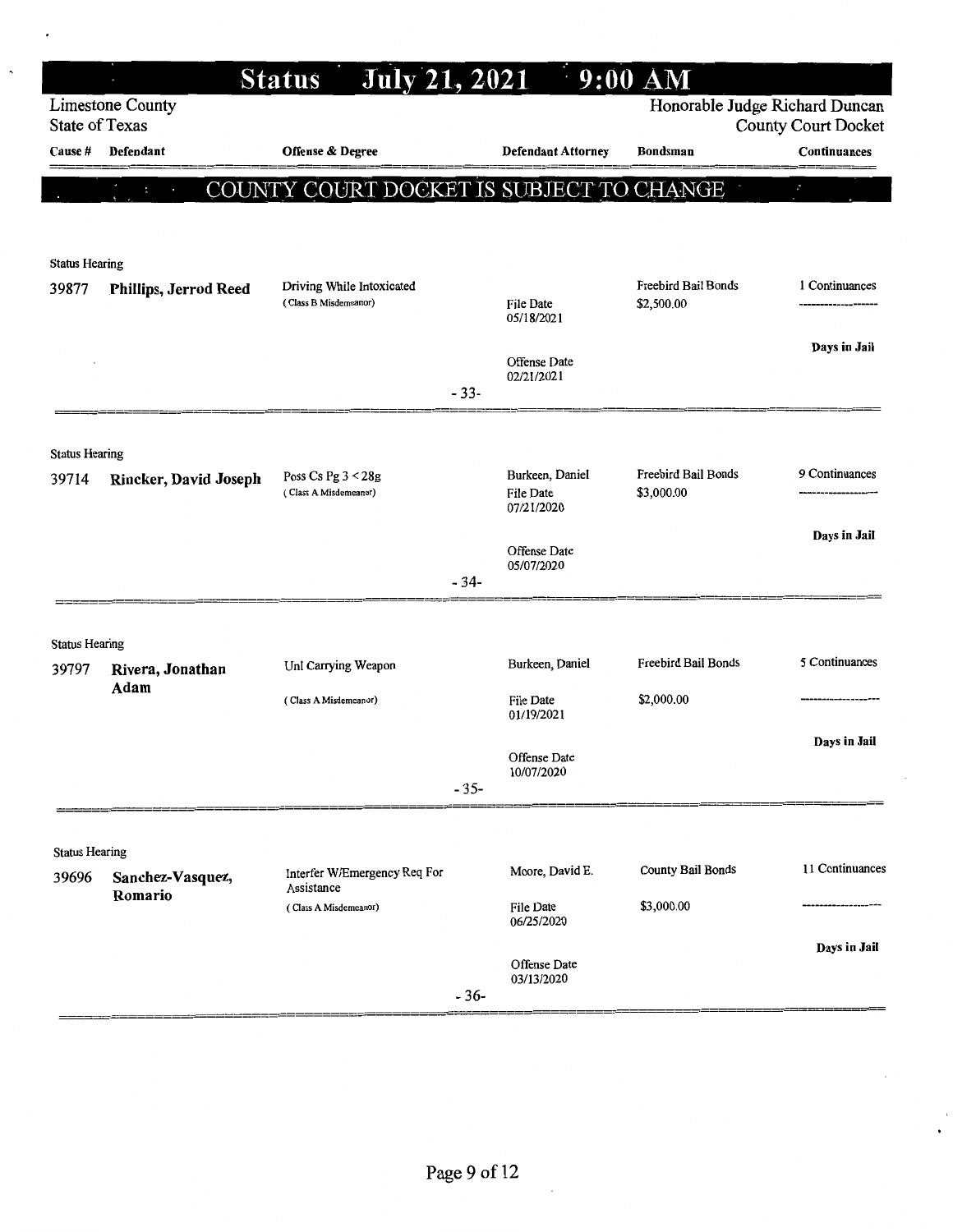|                                |                          | <b>July 21, 2021</b><br><b>Status</b>              |        |                                     | $9:00$ AM                         |                                                              |
|--------------------------------|--------------------------|----------------------------------------------------|--------|-------------------------------------|-----------------------------------|--------------------------------------------------------------|
| State of Texas                 | <b>Limestone County</b>  |                                                    |        |                                     |                                   | Honorable Judge Richard Duncan<br><b>County Court Docket</b> |
| <b>Cause</b> #                 | Defendant                | Offense & Degree                                   |        | <b>Defendant Attorney</b>           | Bondsman                          | Continuances                                                 |
|                                | COUNT<br>$\mathbf{a}$    | COURT DOCKET IS SUBJECT TO CHANGE<br>$\mathbf{Y}$  |        |                                     |                                   | $\mathbf{v}_\mathrm{p}$                                      |
|                                |                          |                                                    |        |                                     |                                   |                                                              |
|                                |                          |                                                    |        |                                     |                                   |                                                              |
| <b>Status Hearing</b>          |                          |                                                    |        |                                     |                                   |                                                              |
| 39877                          | Phillips, Jerrod Reed    | Driving While Intoxicated<br>(Class B Misdemeanor) |        | <b>File Date</b><br>05/18/2021      | Freebird Bail Bonds<br>\$2,500.00 | 1 Continuances                                               |
|                                |                          |                                                    |        | Offense Date<br>02/21/2021          |                                   | Days in Jail                                                 |
|                                |                          |                                                    | $-33-$ |                                     |                                   |                                                              |
|                                |                          |                                                    |        |                                     |                                   |                                                              |
| <b>Status Hearing</b>          |                          |                                                    |        |                                     | Freebird Bail Bonds               | 9 Continuances                                               |
| 39714                          | Rincker, David Joseph    | Poss Cs Pg $3 < 28g$<br>(Class A Misdemeanor)      |        | Burkeen, Daniel<br><b>File Date</b> | \$3,000.00                        |                                                              |
|                                |                          |                                                    |        | 07/21/2020                          |                                   | Days in Jail                                                 |
|                                |                          |                                                    |        | Offense Date<br>05/07/2020          |                                   |                                                              |
|                                |                          |                                                    | $-34-$ |                                     |                                   |                                                              |
|                                |                          |                                                    |        |                                     |                                   |                                                              |
| <b>Status Hearing</b>          |                          |                                                    |        |                                     | <b>Freebird Bail Bonds</b>        | 5 Continuances                                               |
| 39797                          | Rivera, Jonathan<br>Adam | Unl Carrying Weapon                                |        | Burkeen, Daniel                     |                                   |                                                              |
|                                |                          | (Class A Misdemeanor)                              |        | <b>File Date</b><br>01/19/2021      | \$2,000.00                        |                                                              |
|                                |                          |                                                    |        |                                     |                                   | Days in Jail                                                 |
|                                |                          |                                                    |        | Offense Date<br>10/07/2020          |                                   |                                                              |
|                                |                          |                                                    | $-35-$ |                                     |                                   |                                                              |
|                                |                          |                                                    |        |                                     |                                   |                                                              |
| <b>Status Hearing</b><br>39696 | Sanchez-Vasquez,         | Interfer W/Emergency Req For                       |        | Moore, David E.                     | County Bail Bonds                 | 11 Continuances                                              |
|                                | Romario                  | Assistance<br>(Class A Misdemeanor)                |        | File Date                           | \$3,000.00                        |                                                              |
|                                |                          |                                                    |        | 06/25/2020                          |                                   |                                                              |
|                                |                          |                                                    |        | Offense Date                        |                                   | Days in Jail                                                 |
|                                |                          |                                                    | $-36-$ | 03/13/2020                          |                                   |                                                              |
|                                |                          |                                                    |        |                                     |                                   |                                                              |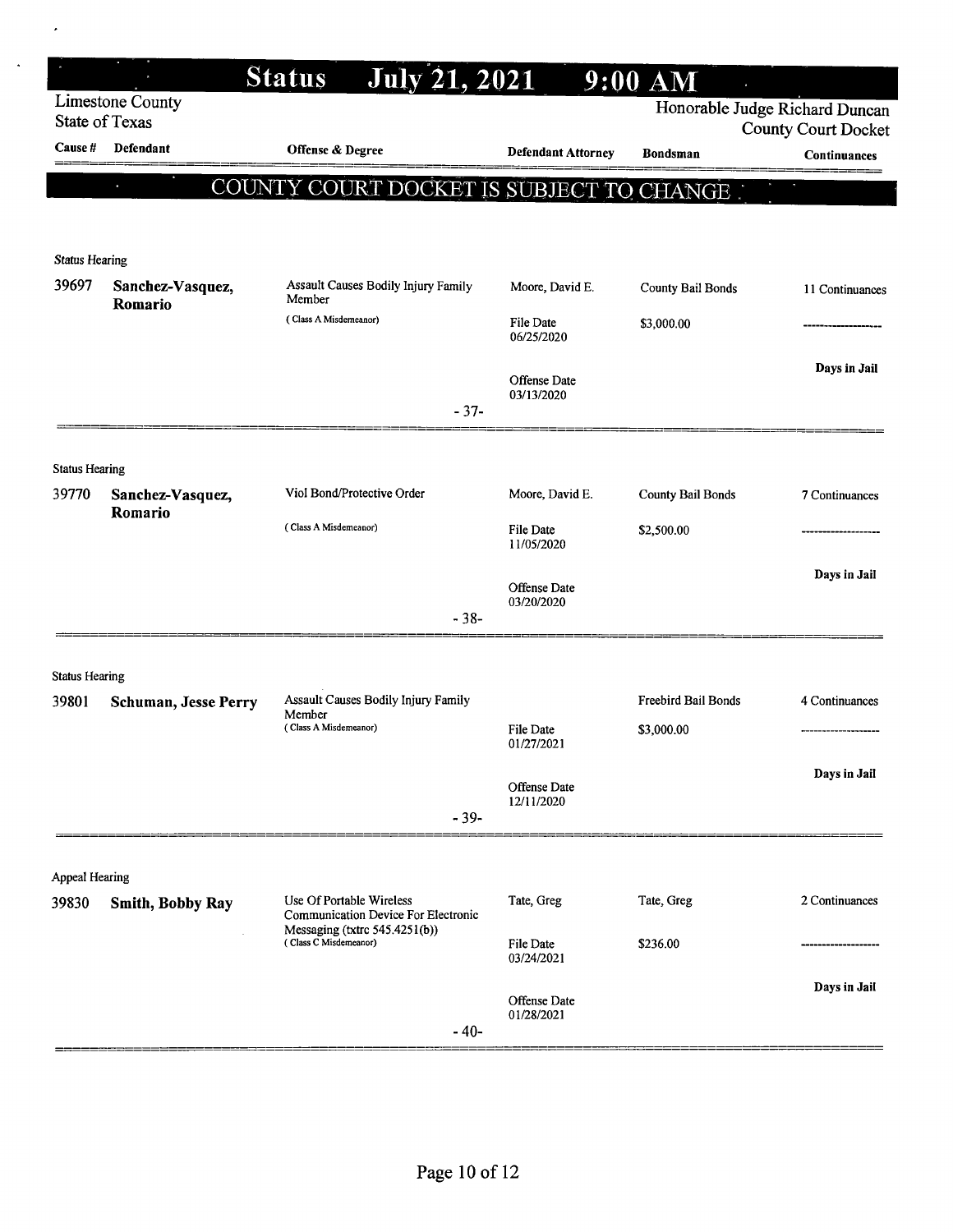|                                |                                           | <b>Status</b><br><b>July 21, 2021</b>                           |                                   | $9:00$ AM                      |                            |
|--------------------------------|-------------------------------------------|-----------------------------------------------------------------|-----------------------------------|--------------------------------|----------------------------|
|                                | Limestone County<br><b>State of Texas</b> |                                                                 |                                   | Honorable Judge Richard Duncan | <b>County Court Docket</b> |
| <b>Cause #</b>                 | Defendant                                 | Offense & Degree                                                | <b>Defendant Attorney</b>         | <b>Bondsman</b>                | Continuances               |
|                                | $\overline{\mathbf{u}}$                   | COUNTY COURT DOCKET IS SUBJECT TO CHANGE .                      |                                   |                                |                            |
|                                |                                           |                                                                 |                                   |                                |                            |
|                                |                                           |                                                                 |                                   |                                |                            |
| <b>Status Hearing</b><br>39697 | Sanchez-Vasquez,                          | Assault Causes Bodily Injury Family                             | Moore, David E.                   | County Bail Bonds              | 11 Continuances            |
|                                | Romario                                   | Member                                                          |                                   |                                |                            |
|                                |                                           | (Class A Misdemeanor)                                           | File Date<br>06/25/2020           | \$3,000.00                     |                            |
|                                |                                           |                                                                 |                                   |                                | Days in Jail               |
|                                |                                           |                                                                 | <b>Offense Date</b><br>03/13/2020 |                                |                            |
|                                |                                           | $-37-$                                                          |                                   |                                |                            |
| <b>Status Hearing</b>          |                                           |                                                                 |                                   |                                |                            |
| 39770                          | Sanchez-Vasquez,                          | Viol Bond/Protective Order                                      | Moore, David E.                   | <b>County Bail Bonds</b>       | 7 Continuances             |
|                                | Romario                                   | (Class A Misdemeanor)                                           | File Date                         | \$2,500.00                     |                            |
|                                |                                           |                                                                 | 11/05/2020                        |                                |                            |
|                                |                                           |                                                                 | Offense Date                      |                                | Days in Jail               |
|                                |                                           | $-38-$                                                          | 03/20/2020                        |                                |                            |
|                                |                                           |                                                                 |                                   |                                |                            |
| <b>Status Hearing</b>          |                                           |                                                                 |                                   |                                |                            |
| 39801                          | <b>Schuman, Jesse Perry</b>               | Assault Causes Bodily Injury Family<br>Member                   |                                   | <b>Freebird Bail Bonds</b>     | 4 Continuances             |
|                                |                                           | (Class A Misdemeanor)                                           | File Date<br>01/27/2021           | \$3,000.00                     |                            |
|                                |                                           |                                                                 |                                   |                                | Days in Jail               |
|                                |                                           |                                                                 | Offense Date<br>12/11/2020        |                                |                            |
|                                |                                           | $-39-$                                                          |                                   |                                |                            |
|                                |                                           |                                                                 |                                   |                                |                            |
| <b>Appeal Hearing</b>          |                                           |                                                                 |                                   |                                |                            |
| 39830                          | Smith, Bobby Ray                          | Use Of Portable Wireless<br>Communication Device For Electronic | Tate, Greg                        | Tate, Greg                     | 2 Continuances             |
|                                |                                           | Messaging (txtrc 545.4251(b))<br>(Class C Misdemeanor)          | File Date                         | \$236.00                       |                            |
|                                |                                           |                                                                 | 03/24/2021                        |                                | Days in Jail               |
|                                |                                           |                                                                 | Offense Date<br>01/28/2021        |                                |                            |
|                                |                                           | $-40-$                                                          |                                   |                                |                            |

 $\bar{\star}$ 

 $\ddot{\phantom{0}}$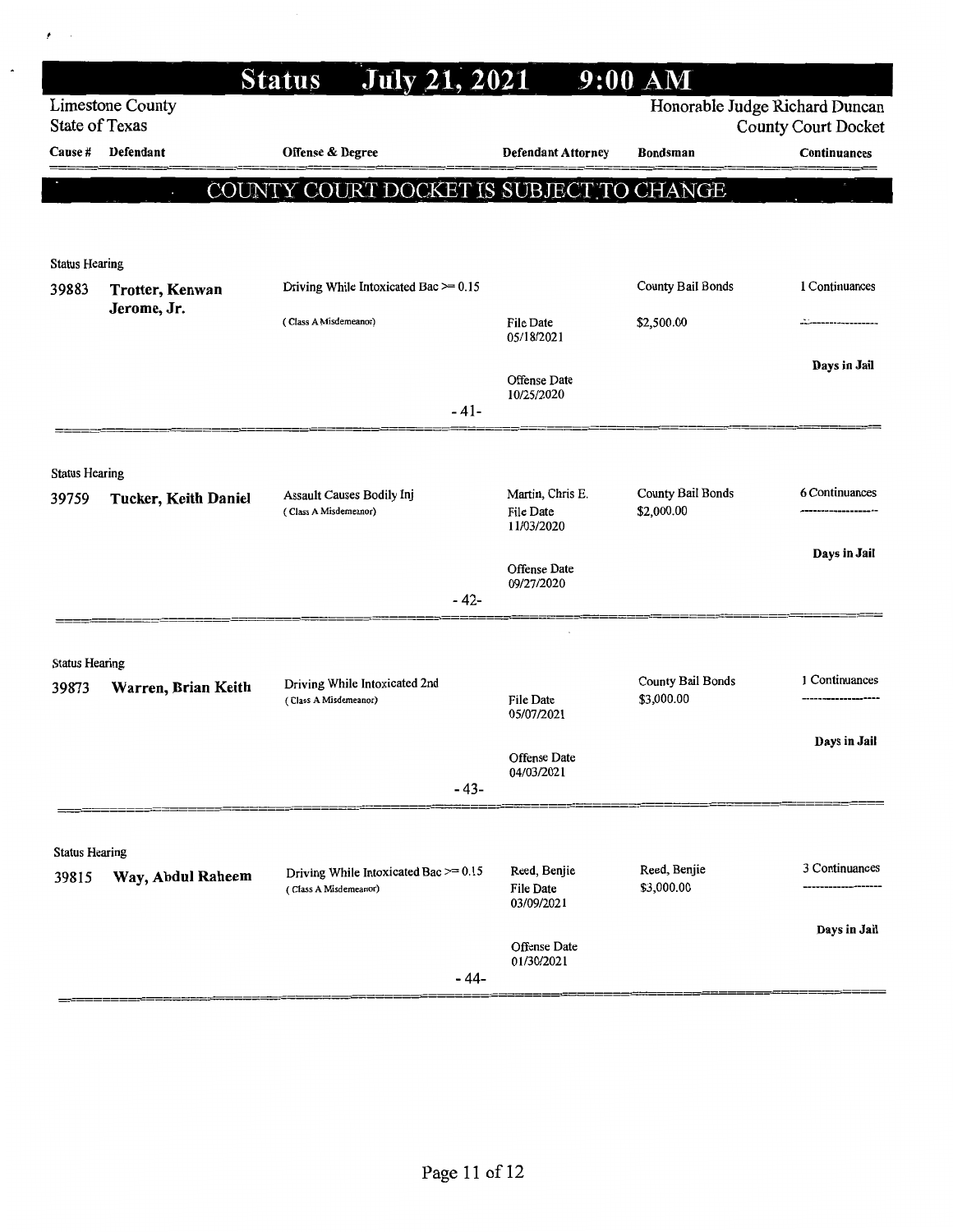| <b>Limestone County</b><br>Honorable Judge Richard Duncan<br><b>State of Texas</b><br><b>County Court Docket</b><br>Defendant<br>Offense & Degree<br>Cause #<br><b>Defendant Attorney</b><br><b>Bondsman</b><br>Continuances<br>COUNTY COURT DOCKET IS SUBJECT TO CHANGE<br>$\bullet$<br><b>Status Hearing</b><br>1 Continuances<br>Driving While Intoxicated Bac >= 0.15<br>County Bail Bonds<br>39883<br>Trotter, Kenwan<br>Jerome, Jr.<br>\$2,500.00<br>(Class A Misdemeanor)<br>File Date<br>05/18/2021<br>Days in Jail<br>Offense Date<br>10/25/2020<br>$-41-$<br><b>Status Hearing</b><br>6 Continuances<br>County Bail Bonds<br>Martin, Chris E.<br><b>Assault Causes Bodily Inj</b><br>39759<br><b>Tucker, Keith Daniel</b><br>\$2,000.00<br><b>File Date</b><br>(Class A Misdemeanor)<br>11/03/2020<br>Days in Jail<br>Offense Date<br>09/27/2020<br>- 42-<br><b>Status Hearing</b><br><b>County Bail Bonds</b><br>1 Continuances<br>Driving While Intoxicated 2nd<br>Warren, Brian Keith<br>39873<br>\$3,000.00<br><b>File Date</b><br>(Class A Misdemeanor)<br>05/07/2021<br>Days in Jail<br>Offense Date<br>04/03/2021<br>$-43-$<br><b>Status Hearing</b><br>3 Continuances<br>Reed, Benjie<br>Reed, Benjie<br>Driving While Intoxicated Bac $\geq 0.15$<br>Way, Abdul Raheem<br>39815<br>\$3,000.00<br>File Date<br>(Class A Misdemeanor) |  | July 21, 2021<br><b>Status</b> |            | $9:00$ AM |  |
|--------------------------------------------------------------------------------------------------------------------------------------------------------------------------------------------------------------------------------------------------------------------------------------------------------------------------------------------------------------------------------------------------------------------------------------------------------------------------------------------------------------------------------------------------------------------------------------------------------------------------------------------------------------------------------------------------------------------------------------------------------------------------------------------------------------------------------------------------------------------------------------------------------------------------------------------------------------------------------------------------------------------------------------------------------------------------------------------------------------------------------------------------------------------------------------------------------------------------------------------------------------------------------------------------------------------------------------------------------|--|--------------------------------|------------|-----------|--|
|                                                                                                                                                                                                                                                                                                                                                                                                                                                                                                                                                                                                                                                                                                                                                                                                                                                                                                                                                                                                                                                                                                                                                                                                                                                                                                                                                        |  |                                |            |           |  |
|                                                                                                                                                                                                                                                                                                                                                                                                                                                                                                                                                                                                                                                                                                                                                                                                                                                                                                                                                                                                                                                                                                                                                                                                                                                                                                                                                        |  |                                |            |           |  |
|                                                                                                                                                                                                                                                                                                                                                                                                                                                                                                                                                                                                                                                                                                                                                                                                                                                                                                                                                                                                                                                                                                                                                                                                                                                                                                                                                        |  |                                |            |           |  |
|                                                                                                                                                                                                                                                                                                                                                                                                                                                                                                                                                                                                                                                                                                                                                                                                                                                                                                                                                                                                                                                                                                                                                                                                                                                                                                                                                        |  |                                |            |           |  |
|                                                                                                                                                                                                                                                                                                                                                                                                                                                                                                                                                                                                                                                                                                                                                                                                                                                                                                                                                                                                                                                                                                                                                                                                                                                                                                                                                        |  |                                |            |           |  |
|                                                                                                                                                                                                                                                                                                                                                                                                                                                                                                                                                                                                                                                                                                                                                                                                                                                                                                                                                                                                                                                                                                                                                                                                                                                                                                                                                        |  |                                |            |           |  |
|                                                                                                                                                                                                                                                                                                                                                                                                                                                                                                                                                                                                                                                                                                                                                                                                                                                                                                                                                                                                                                                                                                                                                                                                                                                                                                                                                        |  |                                |            |           |  |
|                                                                                                                                                                                                                                                                                                                                                                                                                                                                                                                                                                                                                                                                                                                                                                                                                                                                                                                                                                                                                                                                                                                                                                                                                                                                                                                                                        |  |                                |            |           |  |
|                                                                                                                                                                                                                                                                                                                                                                                                                                                                                                                                                                                                                                                                                                                                                                                                                                                                                                                                                                                                                                                                                                                                                                                                                                                                                                                                                        |  |                                |            |           |  |
|                                                                                                                                                                                                                                                                                                                                                                                                                                                                                                                                                                                                                                                                                                                                                                                                                                                                                                                                                                                                                                                                                                                                                                                                                                                                                                                                                        |  |                                |            |           |  |
|                                                                                                                                                                                                                                                                                                                                                                                                                                                                                                                                                                                                                                                                                                                                                                                                                                                                                                                                                                                                                                                                                                                                                                                                                                                                                                                                                        |  |                                |            |           |  |
|                                                                                                                                                                                                                                                                                                                                                                                                                                                                                                                                                                                                                                                                                                                                                                                                                                                                                                                                                                                                                                                                                                                                                                                                                                                                                                                                                        |  |                                |            |           |  |
|                                                                                                                                                                                                                                                                                                                                                                                                                                                                                                                                                                                                                                                                                                                                                                                                                                                                                                                                                                                                                                                                                                                                                                                                                                                                                                                                                        |  |                                |            |           |  |
|                                                                                                                                                                                                                                                                                                                                                                                                                                                                                                                                                                                                                                                                                                                                                                                                                                                                                                                                                                                                                                                                                                                                                                                                                                                                                                                                                        |  |                                |            |           |  |
|                                                                                                                                                                                                                                                                                                                                                                                                                                                                                                                                                                                                                                                                                                                                                                                                                                                                                                                                                                                                                                                                                                                                                                                                                                                                                                                                                        |  |                                |            |           |  |
|                                                                                                                                                                                                                                                                                                                                                                                                                                                                                                                                                                                                                                                                                                                                                                                                                                                                                                                                                                                                                                                                                                                                                                                                                                                                                                                                                        |  |                                |            |           |  |
|                                                                                                                                                                                                                                                                                                                                                                                                                                                                                                                                                                                                                                                                                                                                                                                                                                                                                                                                                                                                                                                                                                                                                                                                                                                                                                                                                        |  |                                |            |           |  |
|                                                                                                                                                                                                                                                                                                                                                                                                                                                                                                                                                                                                                                                                                                                                                                                                                                                                                                                                                                                                                                                                                                                                                                                                                                                                                                                                                        |  |                                |            |           |  |
|                                                                                                                                                                                                                                                                                                                                                                                                                                                                                                                                                                                                                                                                                                                                                                                                                                                                                                                                                                                                                                                                                                                                                                                                                                                                                                                                                        |  |                                |            |           |  |
|                                                                                                                                                                                                                                                                                                                                                                                                                                                                                                                                                                                                                                                                                                                                                                                                                                                                                                                                                                                                                                                                                                                                                                                                                                                                                                                                                        |  |                                |            |           |  |
|                                                                                                                                                                                                                                                                                                                                                                                                                                                                                                                                                                                                                                                                                                                                                                                                                                                                                                                                                                                                                                                                                                                                                                                                                                                                                                                                                        |  |                                |            |           |  |
|                                                                                                                                                                                                                                                                                                                                                                                                                                                                                                                                                                                                                                                                                                                                                                                                                                                                                                                                                                                                                                                                                                                                                                                                                                                                                                                                                        |  |                                |            |           |  |
|                                                                                                                                                                                                                                                                                                                                                                                                                                                                                                                                                                                                                                                                                                                                                                                                                                                                                                                                                                                                                                                                                                                                                                                                                                                                                                                                                        |  |                                |            |           |  |
|                                                                                                                                                                                                                                                                                                                                                                                                                                                                                                                                                                                                                                                                                                                                                                                                                                                                                                                                                                                                                                                                                                                                                                                                                                                                                                                                                        |  |                                | 03/09/2021 |           |  |
| Days in Jail<br>Offense Date                                                                                                                                                                                                                                                                                                                                                                                                                                                                                                                                                                                                                                                                                                                                                                                                                                                                                                                                                                                                                                                                                                                                                                                                                                                                                                                           |  |                                |            |           |  |
| 01/30/2021<br>$-44-$                                                                                                                                                                                                                                                                                                                                                                                                                                                                                                                                                                                                                                                                                                                                                                                                                                                                                                                                                                                                                                                                                                                                                                                                                                                                                                                                   |  |                                |            |           |  |

 $\sim$  $\bar{t}$ 

 $\overline{\phantom{a}}$